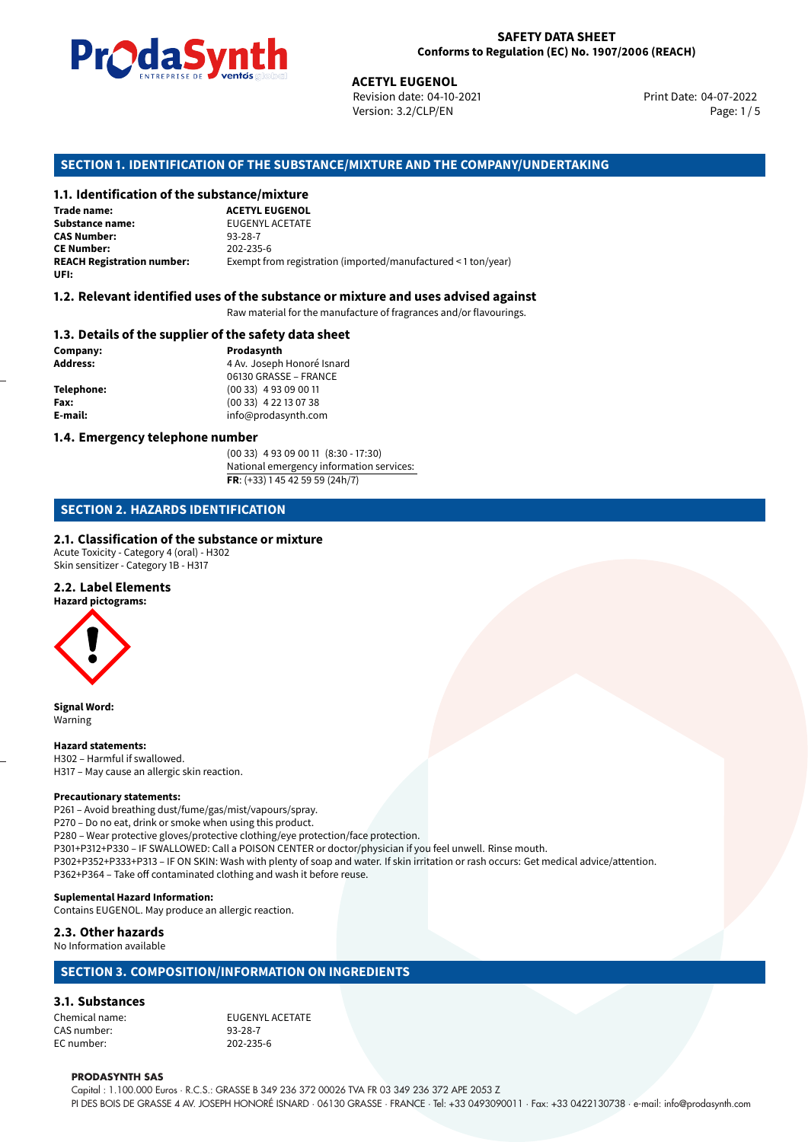

Revision date: 04-10-2021 Version: 3.2/CLP/EN Page: 1 / 5

Print Date: 04-07-2022

# **ACETYL EUGENOL<br>
ACETYL EUGENOL<br>
Revision date: 04-10-<br>
Version: 3.2/CLP/EN<br>
<b>OF THE SUBSTANCE/MIXTURE AND THE<br>
tance/mixture<br>
ACETYL EUGENOL SECTION 1. IDENTIFICATION OF THE SUBSTANCE/MIXTURE AND THE COMPANY/UNDERTAKING**

### **1.1. Identification of the substance/mixture**

**Trade name: Substance name:** EUGENYL ACETATE<br> **CAS Number:** 93-28-7 **CAS Number:** 93-28-7 **CE Number:** 202-235-6<br>**REACH Registration number:** Exempt from Exempt from registration (imported/manufactured < 1 ton/year) **UFI:**

# **1.2. Relevant identified uses of the substance or mixture and uses advised against**

Raw material for the manufacture of fragrances and/or flavourings.

### **1.3. Details of the supplier of the safety data sheet**

**Company: Prodasynth Prodasynth Address:** 4 Av. Joseph

**Address:** 4 Av. Joseph Honoré Isnard 06130 GRASSE – FRANCE **Telephone:** (00 33) 4 93 09 00 11 **Fax:** (00 33) 4 22 13 07 38 **E-mail:** info@prodasynth.com

#### **1.4. Emergency telephone number**

(00 33) 4 93 09 00 11 (8:30 - 17:30) National emergency information services: **FR**: (+33) 1 45 42 59 59 (24h/7)

# **SECTION 2. HAZARDS IDENTIFICATION**

### **2.1. Classification of the substance or mixture**

Acute Toxicity - Category 4 (oral) - H302 Skin sensitizer - Category 1B - H317

# **2.2. Label Elements**

**Hazard pictograms:**



**Signal Word:** Warning

#### **Hazard statements:**

H302 – Harmful if swallowed. H317 – May cause an allergic skin reaction.

#### **Precautionary statements:**

P261 – Avoid breathing dust/fume/gas/mist/vapours/spray. P270 – Do no eat, drink or smoke when using this product. P280 – Wear protective gloves/protective clothing/eye protection/face protection. P301+P312+P330 – IF SWALLOWED: Call a POISON CENTER or doctor/physician if you feel unwell. Rinse mouth. P302+P352+P333+P313 – IF ON SKIN: Wash with plenty of soap and water. If skin irritation or rash occurs: Get medical advice/attention. P362+P364 – Take off contaminated clothing and wash it before reuse.

## **Suplemental Hazard Information:**

Contains EUGENOL. May produce an allergic reaction.

## **2.3. Other hazards**

#### No Information available

# **SECTION 3. COMPOSITION/INFORMATION ON INGREDIENTS**

## **3.1. Substances**

CAS number: 93-28-7 EC number:

Chemical name: EUGENYL ACETATE

#### **PRODASYNTH SAS**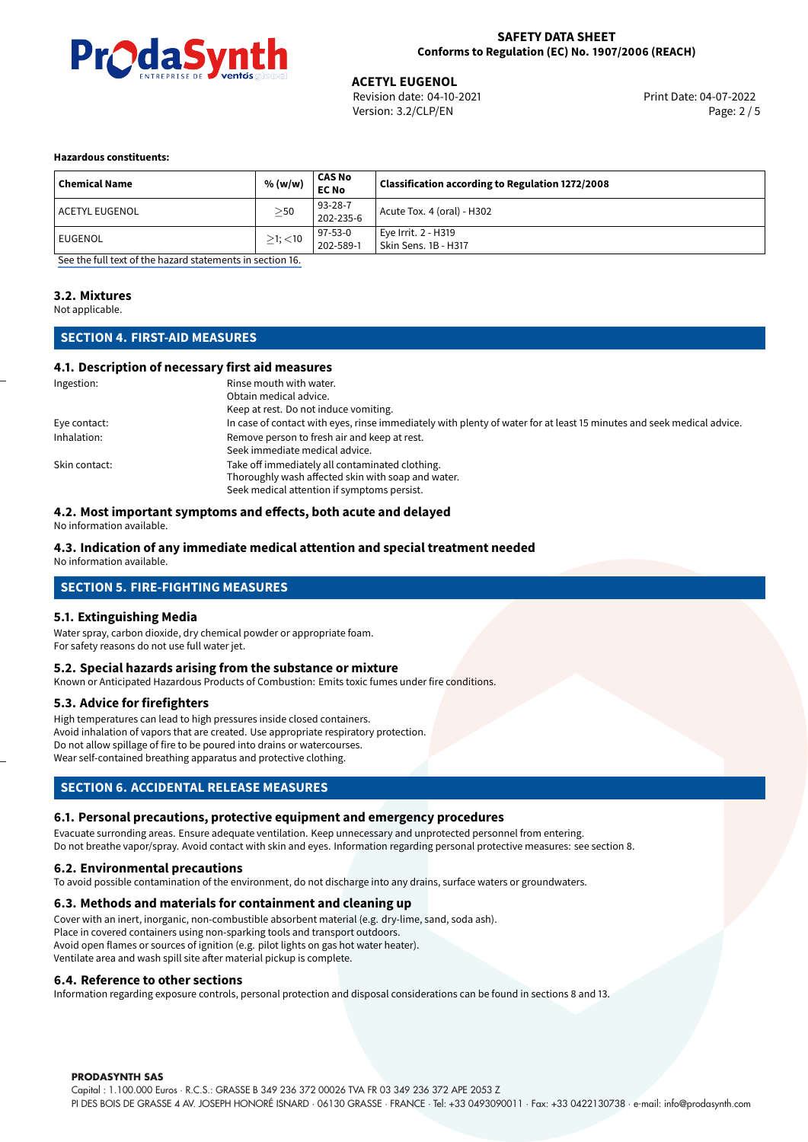

**ACETYL EUGENOL**<br>Revision date: 04-10-2021 **Access 12 Contract Print Date: 04-07-2022** Version: 3.2/CLP/EN Page: 2 / 5

#### **Hazardous constituents:**

| <b>Chemical Name</b> | % (w/w)       | CAS No<br><b>EC No</b> | <b>Classification according to Regulation 1272/2008</b> |
|----------------------|---------------|------------------------|---------------------------------------------------------|
| l ACETYL EUGENOL     | $\geq$ 50     | 93-28-7<br>202-235-6   | Acute Tox. 4 (oral) - H302                              |
| EUGENOL              | $\geq$ 1; <10 | 97-53-0<br>202-589-1   | Eye Irrit. 2 - H319<br>Skin Sens. 1B - H317             |

[See the full text of the hazard statements in section 16.](#page-4-0)

## **3.2. Mixtures**

Not applicable.

# **SECTION 4. FIRST-AID MEASURES**

#### **4.1. Description of necessary first aid measures**

| Ingestion:    | Rinse mouth with water.                                                                                               |
|---------------|-----------------------------------------------------------------------------------------------------------------------|
|               | Obtain medical advice.                                                                                                |
|               | Keep at rest. Do not induce vomiting.                                                                                 |
| Eye contact:  | In case of contact with eyes, rinse immediately with plenty of water for at least 15 minutes and seek medical advice. |
| Inhalation:   | Remove person to fresh air and keep at rest.                                                                          |
|               | Seek immediate medical advice.                                                                                        |
| Skin contact: | Take off immediately all contaminated clothing.                                                                       |
|               | Thoroughly wash affected skin with soap and water.                                                                    |
|               | Seek medical attention if symptoms persist.                                                                           |

#### **4.2. Most important symptoms and effects, both acute and delayed**

No information available.

### **4.3. Indication of any immediate medical attention and special treatment needed**

No information available.

# **SECTION 5. FIRE-FIGHTING MEASURES**

#### **5.1. Extinguishing Media**

Water spray, carbon dioxide, dry chemical powder or appropriate foam. For safety reasons do not use full water jet.

#### **5.2. Special hazards arising from the substance or mixture**

Known or Anticipated Hazardous Products of Combustion: Emits toxic fumes under fire conditions.

#### **5.3. Advice for firefighters**

High temperatures can lead to high pressures inside closed containers. Avoid inhalation of vapors that are created. Use appropriate respiratory protection. Do not allow spillage of fire to be poured into drains or watercourses. Wear self-contained breathing apparatus and protective clothing.

# **SECTION 6. ACCIDENTAL RELEASE MEASURES**

### **6.1. Personal precautions, protective equipment and emergency procedures**

Evacuate surronding areas. Ensure adequate ventilation. Keep unnecessary and unprotected personnel from entering. Do not breathe vapor/spray. Avoid contact with skin and eyes. Information regarding personal protective measures: see section 8.

### **6.2. Environmental precautions**

To avoid possible contamination of the environment, do not discharge into any drains, surface waters or groundwaters.

#### **6.3. Methods and materials for containment and cleaning up**

Cover with an inert, inorganic, non-combustible absorbent material (e.g. dry-lime, sand, soda ash). Place in covered containers using non-sparking tools and transport outdoors. Avoid open flames or sources of ignition (e.g. pilot lights on gas hot water heater). Ventilate area and wash spill site after material pickup is complete.

#### **6.4. Reference to other sections**

Information regarding exposure controls, personal protection and disposal considerations can be found in sections 8 and 13.

#### **PRODASYNTH SAS**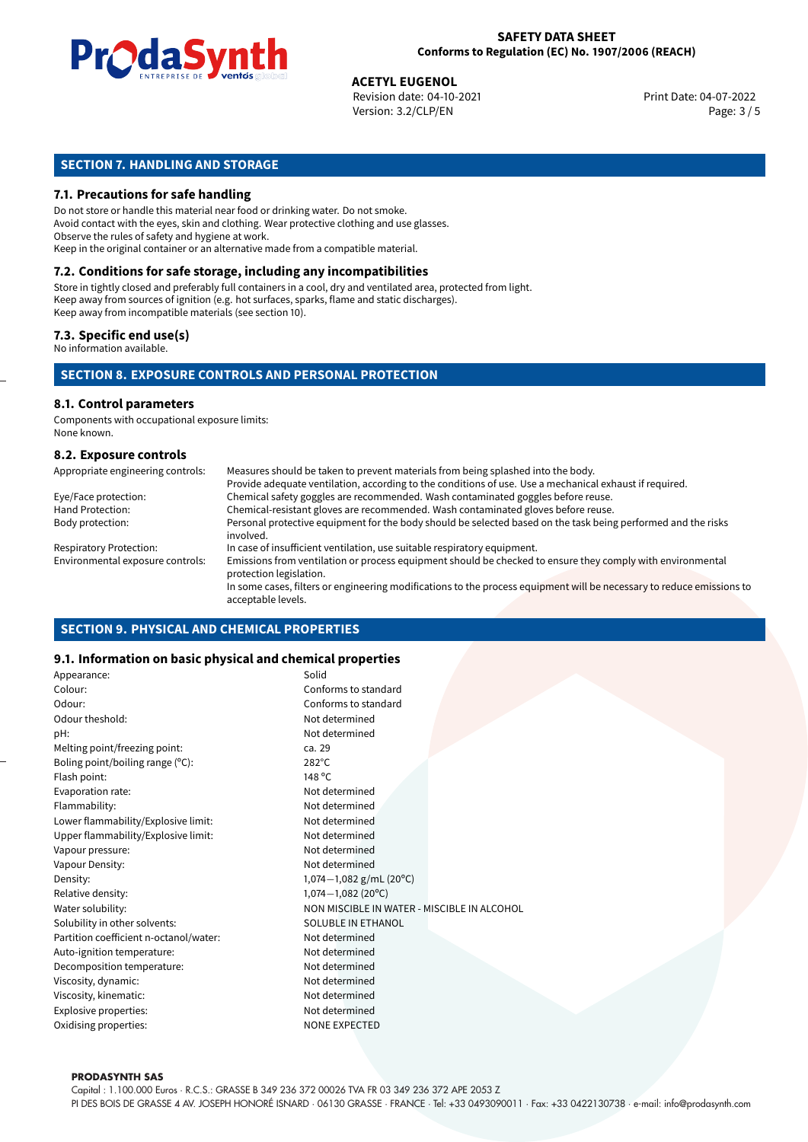

**ACETYL EUGENOL**<br>Revision date: 04-10-2021 **Access 12 Contract Print Date: 04-07-2022** Version: 3.2/CLP/EN Page: 3 / 5

# **SECTION 7. HANDLING AND STORAGE**

#### **7.1. Precautions for safe handling**

Do not store or handle this material near food or drinking water. Do not smoke. Avoid contact with the eyes, skin and clothing. Wear protective clothing and use glasses. Observe the rules of safety and hygiene at work. Keep in the original container or an alternative made from a compatible material.

# **7.2. Conditions for safe storage, including any incompatibilities**

Store in tightly closed and preferably full containers in a cool, dry and ventilated area, protected from light. Keep away from sources of ignition (e.g. hot surfaces, sparks, flame and static discharges). Keep away from incompatible materials (see section 10).

#### **7.3. Specific end use(s)**

No information available.

# **SECTION 8. EXPOSURE CONTROLS AND PERSONAL PROTECTION**

# **8.1. Control parameters**

Components with occupational exposure limits: None known.

#### **8.2. Exposure controls**

| Appropriate engineering controls: | Measures should be taken to prevent materials from being splashed into the body.                                                            |
|-----------------------------------|---------------------------------------------------------------------------------------------------------------------------------------------|
|                                   | Provide adequate ventilation, according to the conditions of use. Use a mechanical exhaust if required.                                     |
| Eye/Face protection:              | Chemical safety goggles are recommended. Wash contaminated goggles before reuse.                                                            |
| Hand Protection:                  | Chemical-resistant gloves are recommended. Wash contaminated gloves before reuse.                                                           |
| Body protection:                  | Personal protective equipment for the body should be selected based on the task being performed and the risks<br>involved.                  |
| <b>Respiratory Protection:</b>    | In case of insufficient ventilation, use suitable respiratory equipment.                                                                    |
| Environmental exposure controls:  | Emissions from ventilation or process equipment should be checked to ensure they comply with environmental<br>protection legislation.       |
|                                   | In some cases, filters or engineering modifications to the process equipment will be necessary to reduce emissions to<br>acceptable levels. |

### **SECTION 9. PHYSICAL AND CHEMICAL PROPERTIES**

#### **9.1. Information on basic physical and chemical properties**

| Appearance:                            | Solid                                       |  |
|----------------------------------------|---------------------------------------------|--|
| Colour:                                | Conforms to standard                        |  |
| Odour:                                 | Conforms to standard                        |  |
| Odour theshold:                        | Not determined                              |  |
| pH:                                    | Not determined                              |  |
| Melting point/freezing point:          | ca. 29                                      |  |
| Boling point/boiling range (°C):       | $282^{\circ}$ C                             |  |
| Flash point:                           | 148 °C                                      |  |
| Evaporation rate:                      | Not determined                              |  |
| Flammability:                          | Not determined                              |  |
| Lower flammability/Explosive limit:    | Not determined                              |  |
| Upper flammability/Explosive limit:    | Not determined                              |  |
| Vapour pressure:                       | Not determined                              |  |
| Vapour Density:                        | Not determined                              |  |
| Density:                               | 1,074 $-1,082$ g/mL (20°C)                  |  |
| Relative density:                      | $1,074 - 1,082(20^{\circ}C)$                |  |
| Water solubility:                      | NON MISCIBLE IN WATER - MISCIBLE IN ALCOHOL |  |
| Solubility in other solvents:          | SOLUBLE IN ETHANOL                          |  |
| Partition coefficient n-octanol/water: | Not determined                              |  |
| Auto-ignition temperature:             | Not determined                              |  |
| Decomposition temperature:             | Not determined                              |  |
| Viscosity, dynamic:                    | Not determined                              |  |
| Viscosity, kinematic:                  | Not determined                              |  |
| Explosive properties:                  | Not determined                              |  |
| Oxidising properties:                  | <b>NONE EXPECTED</b>                        |  |
|                                        |                                             |  |

#### **PRODASYNTH SAS**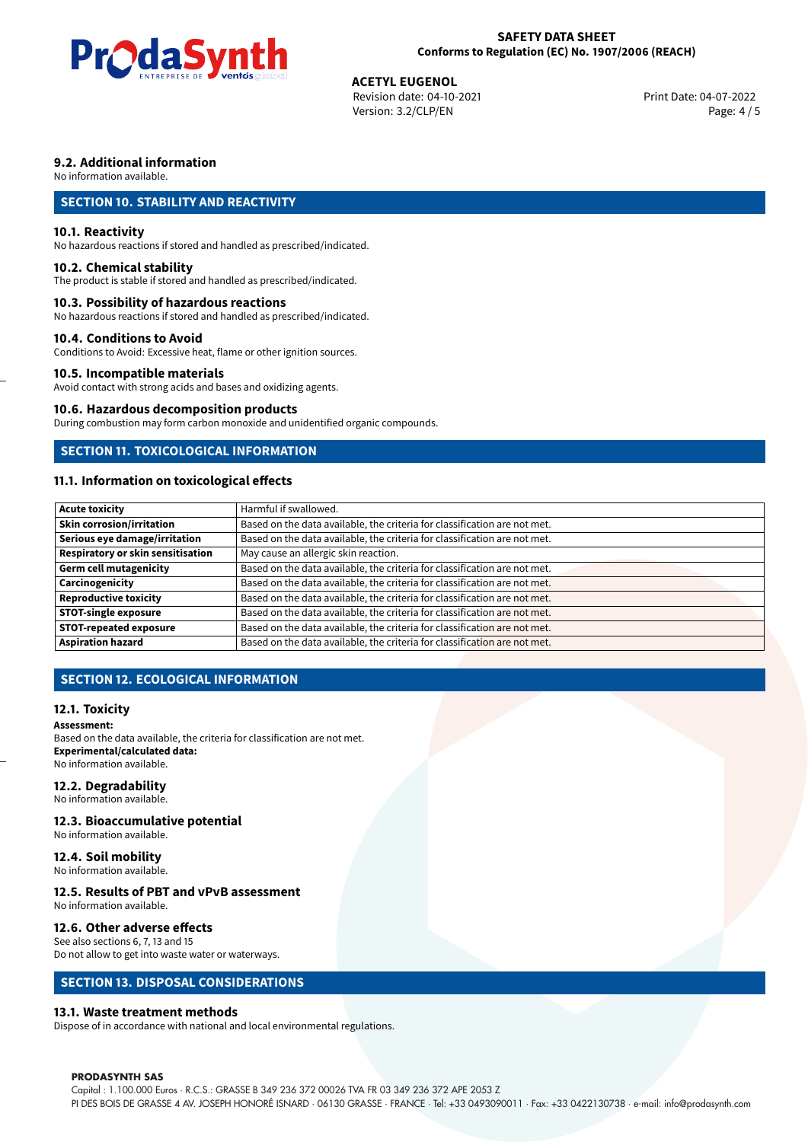

**ACETYL EUGENOL**<br>Revision date: 04-10-2021 **Access 12 Contract Print Date: 04-07-2022** Version: 3.2/CLP/EN Page: 4 / 5

# **9.2. Additional information**

No information available.

# **SECTION 10. STABILITY AND REACTIVITY**

#### **10.1. Reactivity**

No hazardous reactions if stored and handled as prescribed/indicated.

#### **10.2. Chemical stability**

The product is stable if stored and handled as prescribed/indicated.

#### **10.3. Possibility of hazardous reactions**

No hazardous reactions if stored and handled as prescribed/indicated.

#### **10.4. Conditions to Avoid**

Conditions to Avoid: Excessive heat, flame or other ignition sources.

# **10.5. Incompatible materials**

Avoid contact with strong acids and bases and oxidizing agents.

#### **10.6. Hazardous decomposition products**

During combustion may form carbon monoxide and unidentified organic compounds.

# **SECTION 11. TOXICOLOGICAL INFORMATION**

# **11.1. Information on toxicological effects**

| <b>Acute toxicity</b>             | Harmful if swallowed.                                                     |  |  |  |
|-----------------------------------|---------------------------------------------------------------------------|--|--|--|
| <b>Skin corrosion/irritation</b>  | Based on the data available, the criteria for classification are not met. |  |  |  |
| Serious eye damage/irritation     | Based on the data available, the criteria for classification are not met. |  |  |  |
| Respiratory or skin sensitisation | May cause an allergic skin reaction.                                      |  |  |  |
| Germ cell mutagenicity            | Based on the data available, the criteria for classification are not met. |  |  |  |
| Carcinogenicity                   | Based on the data available, the criteria for classification are not met. |  |  |  |
| <b>Reproductive toxicity</b>      | Based on the data available, the criteria for classification are not met. |  |  |  |
| <b>STOT-single exposure</b>       | Based on the data available, the criteria for classification are not met. |  |  |  |
| <b>STOT-repeated exposure</b>     | Based on the data available, the criteria for classification are not met. |  |  |  |
| <b>Aspiration hazard</b>          | Based on the data available, the criteria for classification are not met. |  |  |  |

# **SECTION 12. ECOLOGICAL INFORMATION**

### **12.1. Toxicity**

#### **Assessment:**

Based on the data available, the criteria for classification are not met. **Experimental/calculated data:** No information available.

### **12.2. Degradability**

No information available.

#### **12.3. Bioaccumulative potential**

No information available.

## **12.4. Soil mobility**

No information available.

# **12.5. Results of PBT and vPvB assessment**

No information available.

#### **12.6. Other adverse effects**

See also sections 6, 7, 13 and 15 Do not allow to get into waste water or waterways.

## **SECTION 13. DISPOSAL CONSIDERATIONS**

### **13.1. Waste treatment methods**

Dispose of in accordance with national and local environmental regulations.

#### **PRODASYNTH SAS**